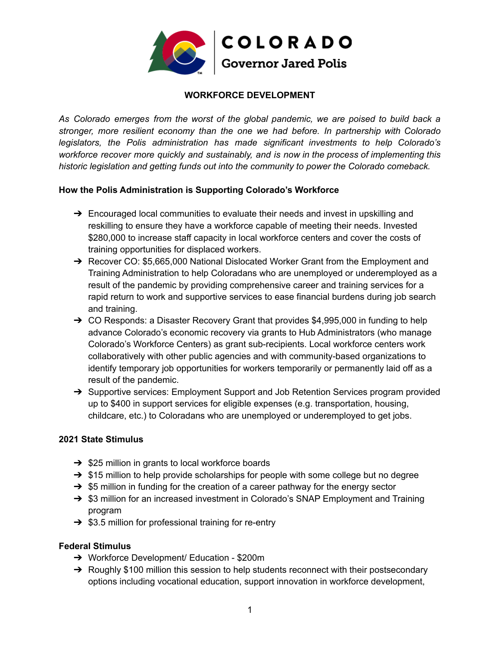

# **WORKFORCE DEVELOPMENT**

*As Colorado emerges from the worst of the global pandemic, we are poised to build back a stronger, more resilient economy than the one we had before. In partnership with Colorado legislators, the Polis administration has made significant investments to help Colorado's workforce recover more quickly and sustainably, and is now in the process of implementing this historic legislation and getting funds out into the community to power the Colorado comeback.*

# **How the Polis Administration is Supporting Colorado's Workforce**

- $\rightarrow$  Encouraged local communities to evaluate their needs and invest in upskilling and reskilling to ensure they have a workforce capable of meeting their needs. Invested \$280,000 to increase staff capacity in local workforce centers and cover the costs of training opportunities for displaced workers.
- ➔ Recover CO: \$5,665,000 National Dislocated Worker Grant from the Employment and Training Administration to help Coloradans who are unemployed or underemployed as a result of the pandemic by providing comprehensive career and training services for a rapid return to work and supportive services to ease financial burdens during job search and training.
- $\rightarrow$  CO Responds: a Disaster Recovery Grant that provides \$4,995,000 in funding to help advance Colorado's economic recovery via grants to Hub Administrators (who manage Colorado's Workforce Centers) as grant sub-recipients. Local workforce centers work collaboratively with other public agencies and with community-based organizations to identify temporary job opportunities for workers temporarily or permanently laid off as a result of the pandemic.
- → Supportive services: Employment Support and Job Retention Services program provided up to \$400 in support services for eligible expenses (e.g. transportation, housing, childcare, etc.) to Coloradans who are unemployed or underemployed to get jobs.

# **2021 State Stimulus**

- $\rightarrow$  \$25 million in grants to local workforce boards
- $\rightarrow$  \$15 million to help provide scholarships for people with some college but no degree
- $\rightarrow$  \$5 million in funding for the creation of a career pathway for the energy sector
- ➔ \$3 million for an increased investment in Colorado's SNAP Employment and Training program
- $\rightarrow$  \$3.5 million for professional training for re-entry

# **Federal Stimulus**

- ➔ Workforce Development/ Education \$200m
- → Roughly \$100 million this session to help students reconnect with their postsecondary options including vocational education, support innovation in workforce development,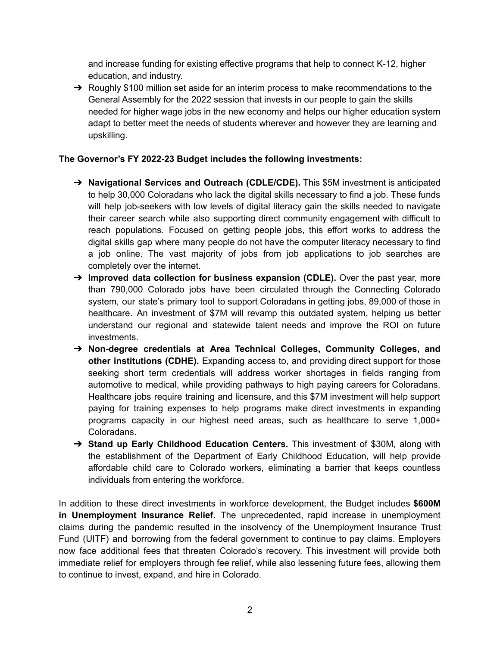and increase funding for existing effective programs that help to connect K-12, higher education, and industry.

 $\rightarrow$  Roughly \$100 million set aside for an interim process to make recommendations to the General Assembly for the 2022 session that invests in our people to gain the skills needed for higher wage jobs in the new economy and helps our higher education system adapt to better meet the needs of students wherever and however they are learning and upskilling.

# **The Governor's FY 2022-23 Budget includes the following investments:**

- ➔ **Navigational Services and Outreach (CDLE/CDE).** This \$5M investment is anticipated to help 30,000 Coloradans who lack the digital skills necessary to find a job. These funds will help job-seekers with low levels of digital literacy gain the skills needed to navigate their career search while also supporting direct community engagement with difficult to reach populations. Focused on getting people jobs, this effort works to address the digital skills gap where many people do not have the computer literacy necessary to find a job online. The vast majority of jobs from job applications to job searches are completely over the internet.
- ➔ **Improved data collection for business expansion (CDLE).** Over the past year, more than 790,000 Colorado jobs have been circulated through the Connecting Colorado system, our state's primary tool to support Coloradans in getting jobs, 89,000 of those in healthcare. An investment of \$7M will revamp this outdated system, helping us better understand our regional and statewide talent needs and improve the ROI on future investments.
- ➔ **Non-degree credentials at Area Technical Colleges, Community Colleges, and other institutions (CDHE).** Expanding access to, and providing direct support for those seeking short term credentials will address worker shortages in fields ranging from automotive to medical, while providing pathways to high paying careers for Coloradans. Healthcare jobs require training and licensure, and this \$7M investment will help support paying for training expenses to help programs make direct investments in expanding programs capacity in our highest need areas, such as healthcare to serve 1,000+ Coloradans.
- ➔ **Stand up Early Childhood Education Centers.** This investment of \$30M, along with the establishment of the Department of Early Childhood Education, will help provide affordable child care to Colorado workers, eliminating a barrier that keeps countless individuals from entering the workforce.

In addition to these direct investments in workforce development, the Budget includes **\$600M in Unemployment Insurance Relief**. The unprecedented, rapid increase in unemployment claims during the pandemic resulted in the insolvency of the Unemployment Insurance Trust Fund (UITF) and borrowing from the federal government to continue to pay claims. Employers now face additional fees that threaten Colorado's recovery. This investment will provide both immediate relief for employers through fee relief, while also lessening future fees, allowing them to continue to invest, expand, and hire in Colorado.